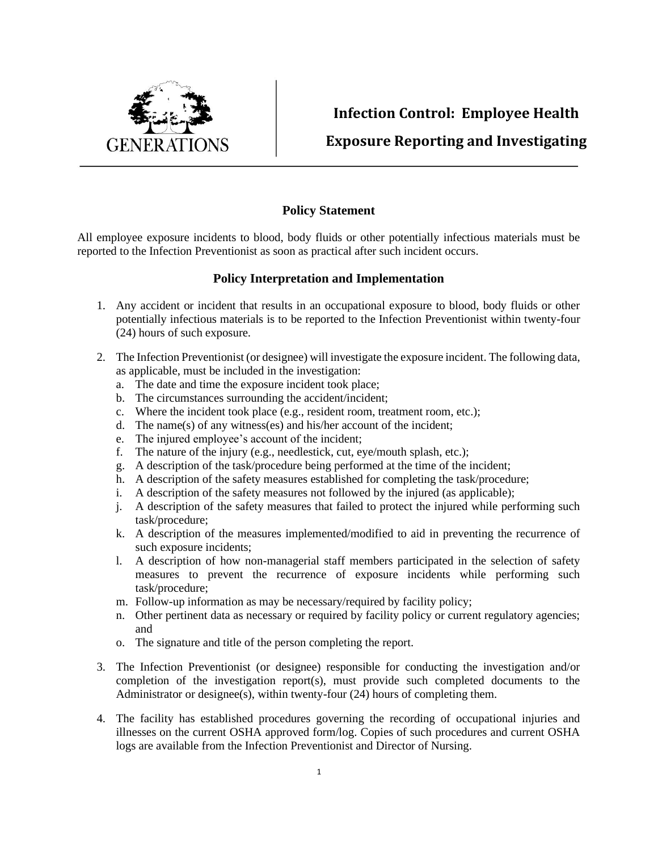

## **Infection Control: Employee Health Exposure Reporting and Investigating**

## **Policy Statement**

All employee exposure incidents to blood, body fluids or other potentially infectious materials must be reported to the Infection Preventionist as soon as practical after such incident occurs.

## **Policy Interpretation and Implementation**

- 1. Any accident or incident that results in an occupational exposure to blood, body fluids or other potentially infectious materials is to be reported to the Infection Preventionist within twenty-four (24) hours of such exposure.
- 2. The Infection Preventionist (or designee) will investigate the exposure incident. The following data, as applicable, must be included in the investigation:
	- a. The date and time the exposure incident took place;
	- b. The circumstances surrounding the accident/incident;
	- c. Where the incident took place (e.g., resident room, treatment room, etc.);
	- d. The name(s) of any witness(es) and his/her account of the incident;
	- e. The injured employee's account of the incident;
	- f. The nature of the injury (e.g., needlestick, cut, eye/mouth splash, etc.);
	- g. A description of the task/procedure being performed at the time of the incident;
	- h. A description of the safety measures established for completing the task/procedure;
	- i. A description of the safety measures not followed by the injured (as applicable);
	- j. A description of the safety measures that failed to protect the injured while performing such task/procedure;
	- k. A description of the measures implemented/modified to aid in preventing the recurrence of such exposure incidents;
	- l. A description of how non-managerial staff members participated in the selection of safety measures to prevent the recurrence of exposure incidents while performing such task/procedure;
	- m. Follow-up information as may be necessary/required by facility policy;
	- n. Other pertinent data as necessary or required by facility policy or current regulatory agencies; and
	- o. The signature and title of the person completing the report.
- 3. The Infection Preventionist (or designee) responsible for conducting the investigation and/or completion of the investigation report(s), must provide such completed documents to the Administrator or designee(s), within twenty-four (24) hours of completing them.
- 4. The facility has established procedures governing the recording of occupational injuries and illnesses on the current OSHA approved form/log. Copies of such procedures and current OSHA logs are available from the Infection Preventionist and Director of Nursing.